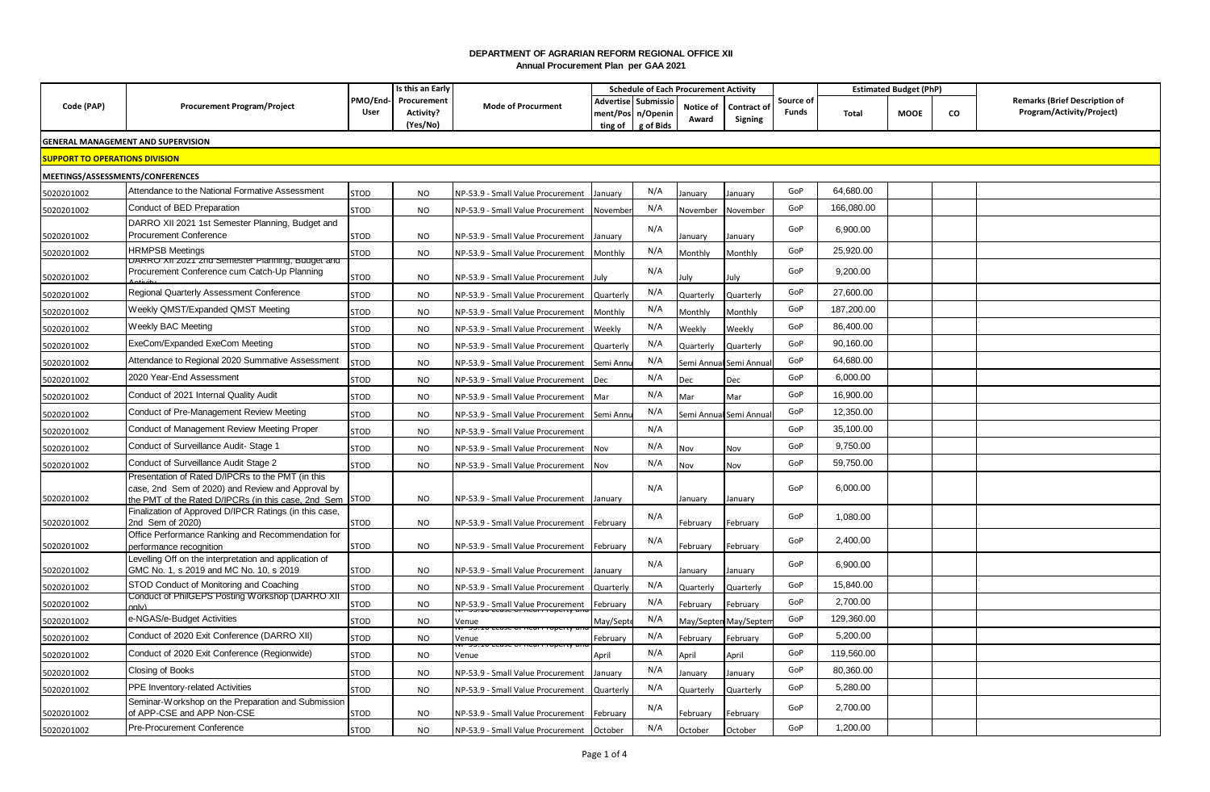## **DEPARTMENT OF AGRARIAN REFORM REGIONAL OFFICE XII Annual Procurement Plan per GAA 2021**

|                                       |                                                                                                                                                               | Is this an Early |                                               |                                           |                     |                                              | <b>Schedule of Each Procurement Activity</b> |                               |                           | <b>Estimated Budget (PhP)</b> |      |    |                                                                   |
|---------------------------------------|---------------------------------------------------------------------------------------------------------------------------------------------------------------|------------------|-----------------------------------------------|-------------------------------------------|---------------------|----------------------------------------------|----------------------------------------------|-------------------------------|---------------------------|-------------------------------|------|----|-------------------------------------------------------------------|
| Code (PAP)                            | <b>Procurement Program/Project</b>                                                                                                                            | User             | PMO/End- Procurement<br>Activity?<br>(Yes/No) | <b>Mode of Procurment</b>                 | ment/Pos<br>ting of | Advertise Submissio<br>n/Openin<br>g of Bids | Notice of<br>Award                           | <b>Contract of</b><br>Signing | Source of<br><b>Funds</b> | Total                         | MOOE | CO | <b>Remarks (Brief Description of</b><br>Program/Activity/Project) |
|                                       | <b>GENERAL MANAGEMENT AND SUPERVISION</b>                                                                                                                     |                  |                                               |                                           |                     |                                              |                                              |                               |                           |                               |      |    |                                                                   |
| <b>SUPPORT TO OPERATIONS DIVISION</b> |                                                                                                                                                               |                  |                                               |                                           |                     |                                              |                                              |                               |                           |                               |      |    |                                                                   |
| MEETINGS/ASSESSMENTS/CONFERENCES      |                                                                                                                                                               |                  |                                               |                                           |                     |                                              |                                              |                               |                           |                               |      |    |                                                                   |
| 5020201002                            | Attendance to the National Formative Assessment                                                                                                               | <b>STOD</b>      | <b>NO</b>                                     | NP-53.9 - Small Value Procurement         | January             | N/A                                          | lanuary                                      | anuary                        | GoP                       | 64,680.00                     |      |    |                                                                   |
| 5020201002                            | Conduct of BED Preparation                                                                                                                                    | <b>STOD</b>      | <b>NO</b>                                     | NP-53.9 - Small Value Procurement         | Novembe             | N/A                                          | November                                     | November                      | GoP                       | 166,080.00                    |      |    |                                                                   |
| 5020201002                            | DARRO XII 2021 1st Semester Planning, Budget and<br><b>Procurement Conference</b>                                                                             | STOD             | <b>NO</b>                                     | NP-53.9 - Small Value Procurement         | January             | N/A                                          | lanuary                                      | January                       | GoP                       | 6,900.00                      |      |    |                                                                   |
| 5020201002                            | <b>HRMPSB Meetings</b>                                                                                                                                        | STOD             | <b>NO</b>                                     | NP-53.9 - Small Value Procurement         | Monthly             | N/A                                          | Monthly                                      | Monthly                       | GoP                       | 25,920.00                     |      |    |                                                                   |
|                                       | JARRU Ali 2021 Zhu Semester Planning, budget and                                                                                                              |                  |                                               |                                           |                     |                                              |                                              |                               | GoP                       |                               |      |    |                                                                   |
| 5020201002                            | Procurement Conference cum Catch-Up Planning                                                                                                                  | <b>STOD</b>      | NO                                            | NP-53.9 - Small Value Procurement         | July                | N/A                                          | luly                                         | luly                          |                           | 9,200.00                      |      |    |                                                                   |
| 5020201002                            | Regional Quarterly Assessment Conference                                                                                                                      | <b>STOD</b>      | <b>NO</b>                                     | NP-53.9 - Small Value Procurement         | Quarterly           | N/A                                          | Quarterly                                    | Quarterly                     | GoP                       | 27,600.00                     |      |    |                                                                   |
| 5020201002                            | Weekly QMST/Expanded QMST Meeting                                                                                                                             | <b>STOD</b>      | <b>NO</b>                                     | NP-53.9 - Small Value Procurement         | Monthly             | N/A                                          | Monthly                                      | Monthly                       | GoP                       | 187,200.00                    |      |    |                                                                   |
| 5020201002                            | Weekly BAC Meeting                                                                                                                                            | <b>STOD</b>      | <b>NO</b>                                     | NP-53.9 - Small Value Procurement         | Weekly              | N/A                                          | Weekly                                       | Weekly                        | GoP                       | 86,400.00                     |      |    |                                                                   |
| 5020201002                            | ExeCom/Expanded ExeCom Meeting                                                                                                                                | <b>STOD</b>      | <b>NO</b>                                     | NP-53.9 - Small Value Procurement         | Quarterly           | N/A                                          | Quarterly                                    | Quarterly                     | GoP                       | 90,160.00                     |      |    |                                                                   |
| 5020201002                            | Attendance to Regional 2020 Summative Assessment                                                                                                              | <b>STOD</b>      | <b>NO</b>                                     | NP-53.9 - Small Value Procurement         | Semi Ann            | N/A                                          | Semi Annua                                   | Semi Annua                    | GoP                       | 64,680.00                     |      |    |                                                                   |
| 5020201002                            | 2020 Year-End Assessment                                                                                                                                      | STOD             | <b>NO</b>                                     | NP-53.9 - Small Value Procurement         | Dec                 | N/A                                          | Dec                                          | Dec                           | GoP                       | 6,000.00                      |      |    |                                                                   |
| 5020201002                            | Conduct of 2021 Internal Quality Audit                                                                                                                        | <b>STOD</b>      | <b>NO</b>                                     | <b>NP-53.9 - Small Value Procurement</b>  | Mar                 | N/A                                          | Mar                                          | Mar                           | GoP                       | 16.900.00                     |      |    |                                                                   |
| 5020201002                            | Conduct of Pre-Management Review Meeting                                                                                                                      | <b>STOD</b>      | <b>NO</b>                                     | NP-53.9 - Small Value Procurement         | Semi Ann            | N/A                                          | Semi Annua                                   | Semi Annua                    | GoP                       | 12.350.00                     |      |    |                                                                   |
| 5020201002                            | Conduct of Management Review Meeting Proper                                                                                                                   | STOD             | <b>NO</b>                                     | NP-53.9 - Small Value Procurement         |                     | N/A                                          |                                              |                               | GoP                       | 35,100.00                     |      |    |                                                                   |
| 5020201002                            | Conduct of Surveillance Audit- Stage 1                                                                                                                        | <b>STOD</b>      | <b>NO</b>                                     | NP-53.9 - Small Value Procurement         | Nov                 | N/A                                          | Nov                                          | Nov                           | GoP                       | 9,750.00                      |      |    |                                                                   |
| 5020201002                            | Conduct of Surveillance Audit Stage 2                                                                                                                         | <b>STOD</b>      | <b>NO</b>                                     | <b>NP-53.9 - Small Value Procurement</b>  | Nov                 | N/A                                          | Vov                                          | Nov                           | GoP                       | 59,750.00                     |      |    |                                                                   |
| 5020201002                            | Presentation of Rated D/IPCRs to the PMT (in this<br>case, 2nd Sem of 2020) and Review and Approval by<br>the PMT of the Rated D/IPCRs (in this case, 2nd Sem | <b>STOD</b>      | NO                                            | NP-53.9 - Small Value Procurement January |                     | N/A                                          | lanuary                                      | January                       | GoP                       | 6,000.00                      |      |    |                                                                   |
| 5020201002                            | Finalization of Approved D/IPCR Ratings (in this case,<br>2nd Sem of 2020)                                                                                    | STOD             | <b>NO</b>                                     | NP-53.9 - Small Value Procurement         | February            | N/A                                          | February                                     | ebruary                       | GoP                       | 1,080.00                      |      |    |                                                                   |
|                                       | Office Performance Ranking and Recommendation for                                                                                                             |                  |                                               |                                           |                     |                                              |                                              |                               | GoP                       |                               |      |    |                                                                   |
| 5020201002                            | performance recognition                                                                                                                                       | STOD             | <b>NO</b>                                     | NP-53.9 - Small Value Procurement         | February            | N/A                                          | February                                     | February                      |                           | 2,400.00                      |      |    |                                                                   |
| 5020201002                            | Levelling Off on the interpretation and application of<br>GMC No. 1, s 2019 and MC No. 10, s 2019                                                             | STOD             | <b>NO</b>                                     | NP-53.9 - Small Value Procurement         | January             | N/A                                          | lanuary                                      | January                       | GoP                       | 6,900.00                      |      |    |                                                                   |
| 5020201002                            | STOD Conduct of Monitoring and Coaching                                                                                                                       | <b>STOD</b>      | <b>NO</b>                                     | NP-53.9 - Small Value Procurement         | Quarterly           | N/A                                          | Quarterly                                    | Quarterly                     | GoP                       | 15,840.00                     |      |    |                                                                   |
| 5020201002                            | Conduct of PhilGEPS Posting Workshop (DARRO XII                                                                                                               | <b>STOD</b>      | <b>NO</b>                                     | NP-53.9 - Small Value Procurement         | February            | N/A                                          | February                                     | ebruary                       | GoP                       | 2,700.00                      |      |    |                                                                   |
| 5020201002                            | e-NGAS/e-Budget Activities                                                                                                                                    | <b>STOD</b>      | <b>NO</b>                                     | Venue                                     | May/Sept            | N/A                                          | May/Septe                                    | May/Septen                    | GoP                       | 129,360.00                    |      |    |                                                                   |
| 5020201002                            | Conduct of 2020 Exit Conference (DARRO XII)                                                                                                                   | <b>STOD</b>      | <b>NO</b>                                     | Venue                                     | February            | N/A                                          | February                                     | February                      | GoP                       | 5,200.00                      |      |    |                                                                   |
| 5020201002                            | Conduct of 2020 Exit Conference (Regionwide)                                                                                                                  | <b>STOD</b>      | <b>NO</b>                                     | Venue                                     | April               | N/A                                          | April                                        | April                         | GoP                       | 119,560.00                    |      |    |                                                                   |
| 5020201002                            | <b>Closing of Books</b>                                                                                                                                       | STOD             | <b>NO</b>                                     | <b>NP-53.9 - Small Value Procurement</b>  | January             | N/A                                          | lanuary                                      | lanuary                       | GoP                       | 80,360.00                     |      |    |                                                                   |
| 5020201002                            | PPE Inventory-related Activities                                                                                                                              | <b>STOD</b>      | <b>NO</b>                                     | NP-53.9 - Small Value Procurement         | Quarterly           | N/A                                          | Quarterly                                    | Quarterly                     | GoP                       | 5,280.00                      |      |    |                                                                   |
| 5020201002                            | Seminar-Workshop on the Preparation and Submission<br>of APP-CSE and APP Non-CSE                                                                              | STOD             | <b>NO</b>                                     | NP-53.9 - Small Value Procurement         | February            | N/A                                          | February                                     | February                      | GoP                       | 2,700.00                      |      |    |                                                                   |
| 5020201002                            | Pre-Procurement Conference                                                                                                                                    | <b>STOD</b>      | <b>NO</b>                                     | NP-53.9 - Small Value Procurement October |                     | N/A                                          | October                                      | October                       | GoP                       | 1,200.00                      |      |    |                                                                   |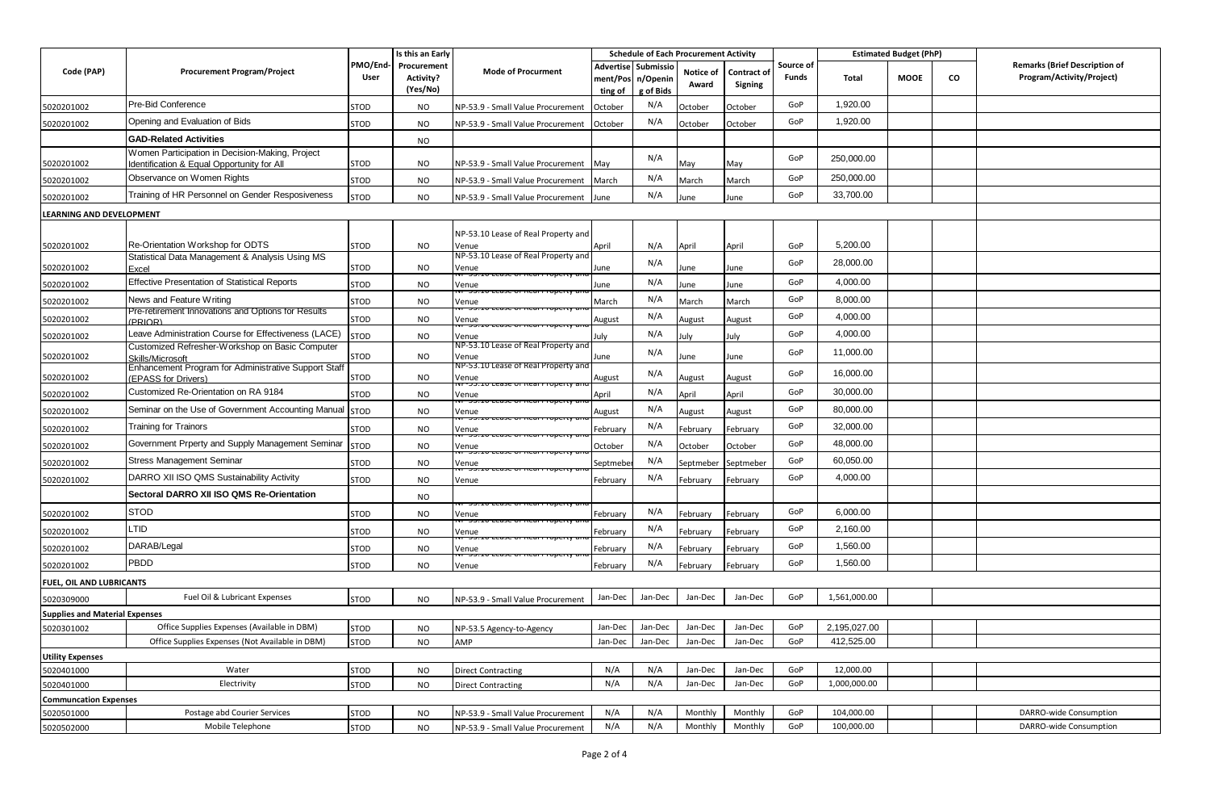|                                            |                                                                                               |                  | Is this an Early                            |                                              |                     |                                              | <b>Schedule of Each Procurement Activity</b> |                        |                           | <b>Estimated Budget (PhP)</b> |             |    |                                                                   |
|--------------------------------------------|-----------------------------------------------------------------------------------------------|------------------|---------------------------------------------|----------------------------------------------|---------------------|----------------------------------------------|----------------------------------------------|------------------------|---------------------------|-------------------------------|-------------|----|-------------------------------------------------------------------|
| Code (PAP)                                 | <b>Procurement Program/Project</b>                                                            | PMO/End-<br>User | Procurement<br><b>Activity?</b><br>(Yes/No) | <b>Mode of Procurment</b>                    | ment/Pos<br>ting of | Advertise Submissio<br>n/Openin<br>g of Bids | Notice of<br>Award                           | Contract of<br>Signing | Source of<br><b>Funds</b> | Total                         | <b>MOOE</b> | CO | <b>Remarks (Brief Description of</b><br>Program/Activity/Project) |
| 5020201002                                 | Pre-Bid Conference                                                                            | <b>STOD</b>      | NO                                          | NP-53.9 - Small Value Procurement            | October             | N/A                                          | October                                      | October                | GoP                       | 1,920.00                      |             |    |                                                                   |
| 5020201002                                 | Opening and Evaluation of Bids                                                                | STOD             | <b>NO</b>                                   | NP-53.9 - Small Value Procurement            | October             | N/A                                          | October                                      | October                | GoP                       | 1,920.00                      |             |    |                                                                   |
|                                            | <b>GAD-Related Activities</b>                                                                 |                  | NO                                          |                                              |                     |                                              |                                              |                        |                           |                               |             |    |                                                                   |
| 5020201002                                 | Women Participation in Decision-Making, Project<br>Identification & Equal Opportunity for All | STOD             | NO                                          | NP-53.9 - Small Value Procurement            | May                 | N/A                                          | May                                          | May                    | GoP                       | 250,000.00                    |             |    |                                                                   |
| 5020201002                                 | Observance on Women Rights                                                                    | STOD             | NO                                          | NP-53.9 - Small Value Procurement            | March               | N/A                                          | March                                        | March                  | GoP                       | 250,000.00                    |             |    |                                                                   |
| 5020201002                                 | Training of HR Personnel on Gender Resposiveness                                              | <b>STOD</b>      | <b>NO</b>                                   | NP-53.9 - Small Value Procurement            | June                | N/A                                          | June                                         | June                   | GoP                       | 33,700.00                     |             |    |                                                                   |
| LEARNING AND DEVELOPMENT                   |                                                                                               |                  |                                             |                                              |                     |                                              |                                              |                        |                           |                               |             |    |                                                                   |
| 5020201002                                 | Re-Orientation Workshop for ODTS                                                              | <b>STOD</b>      | NO                                          | NP-53.10 Lease of Real Property and<br>Venue | April               | N/A                                          | April                                        | April                  | GoP                       | 5,200.00                      |             |    |                                                                   |
| 5020201002                                 | Statistical Data Management & Analysis Using MS<br>Excel                                      | STOD             | <b>NO</b>                                   | NP-53.10 Lease of Real Property and<br>Venue | June                | N/A                                          | June                                         | June                   | GoP                       | 28,000.00                     |             |    |                                                                   |
| 5020201002                                 | <b>Effective Presentation of Statistical Reports</b>                                          | <b>STOD</b>      | NO                                          | Venue                                        | une                 | N/A                                          | lune                                         | June                   | GoP                       | 4,000.00                      |             |    |                                                                   |
| 5020201002                                 | News and Feature Writing                                                                      | STOD             | <b>NO</b>                                   | Venue                                        | March               | N/A                                          | March                                        | March                  | GoP                       | 8,000.00                      |             |    |                                                                   |
| 5020201002                                 | Pre-retirement Innovations and Options for Results<br><b>PRIORI</b>                           | <b>STOD</b>      | <b>NO</b>                                   | Venue                                        | August              | N/A                                          | August                                       | August                 | GoP                       | 4,000.00                      |             |    |                                                                   |
| 5020201002                                 | Leave Administration Course for Effectiveness (LACE)                                          | <b>STOD</b>      | <b>NO</b>                                   | Venue                                        | July                | N/A                                          | luly                                         | July                   | GoP                       | 4,000.00                      |             |    |                                                                   |
| 5020201002                                 | Customized Refresher-Workshop on Basic Computer<br>Skills/Microsoft                           | STOD             | NO                                          | NP-53.10 Lease of Real Property and<br>Venue | June                | N/A                                          | lune                                         | June                   | GoP                       | 11,000.00                     |             |    |                                                                   |
| 5020201002                                 | Enhancement Program for Administrative Support Staff<br><b>EPASS for Drivers)</b>             | STOD             | NO.                                         | NP-53.10 Lease of Real Property and<br>Venue | August              | N/A                                          | August                                       | August                 | GoP                       | 16,000.00                     |             |    |                                                                   |
| 5020201002                                 | Customized Re-Orientation on RA 9184                                                          | STOD             | <b>NO</b>                                   | Venue                                        | April               | N/A                                          | April                                        | April                  | GoP                       | 30,000.00                     |             |    |                                                                   |
| 5020201002                                 | Seminar on the Use of Government Accounting Manual                                            | <b>STOD</b>      | <b>NO</b>                                   | Venue                                        | August              | N/A                                          | August                                       | August                 | GoP                       | 80,000.00                     |             |    |                                                                   |
| 5020201002                                 | <b>Training for Trainors</b>                                                                  | STOD             | <b>NO</b>                                   | Venue                                        | February            | N/A                                          | February                                     | February               | GoP                       | 32,000.00                     |             |    |                                                                   |
| 5020201002                                 | Government Prperty and Supply Management Seminar                                              | <b>STOD</b>      | <b>NO</b>                                   | Venue                                        | October             | N/A                                          | October                                      | October                | GoP                       | 48,000.00                     |             |    |                                                                   |
| 5020201002                                 | <b>Stress Management Seminar</b>                                                              | <b>STOD</b>      | NO.                                         | Venue                                        | Septmeb             | N/A                                          | Septmeber                                    | Septmeber              | GoP                       | 60,050.00                     |             |    |                                                                   |
| 5020201002                                 | DARRO XII ISO QMS Sustainability Activity                                                     | STOD             | <b>NO</b>                                   | Venue                                        | February            | N/A                                          | February                                     | February               | GoP                       | 4,000.00                      |             |    |                                                                   |
|                                            | Sectoral DARRO XII ISO QMS Re-Orientation                                                     |                  | <b>NO</b>                                   |                                              |                     |                                              |                                              |                        |                           |                               |             |    |                                                                   |
| 5020201002                                 | <b>STOD</b>                                                                                   | STOD             | <b>NO</b>                                   | Venue                                        | February            | N/A                                          | February                                     | February               | GoP                       | 6,000.00                      |             |    |                                                                   |
| 5020201002                                 | <b>LTID</b>                                                                                   | <b>STOD</b>      | <b>NO</b>                                   | Venue                                        | February            | N/A                                          | February                                     | February               | GoP                       | 2,160.00                      |             |    |                                                                   |
| 5020201002                                 | DARAB/Legal                                                                                   | <b>STOD</b>      | <b>NO</b>                                   | Venue                                        | February            | N/A                                          | February                                     | February               | GoP                       | 1,560.00                      |             |    |                                                                   |
| 5020201002                                 | <b>PBDD</b>                                                                                   | <b>STOD</b>      | <b>NO</b>                                   | Venue                                        | February            | N/A                                          | February                                     | February               | GoP                       | 1,560.00                      |             |    |                                                                   |
| FUEL, OIL AND LUBRICANTS                   |                                                                                               |                  |                                             |                                              |                     |                                              |                                              |                        |                           |                               |             |    |                                                                   |
| 5020309000                                 | Fuel Oil & Lubricant Expenses                                                                 | STOD             | NO.                                         | NP-53.9 - Small Value Procurement            | Jan-Dec             | Jan-Dec                                      | Jan-Dec                                      | Jan-Dec                | GoP                       | 1,561,000.00                  |             |    |                                                                   |
| <b>Supplies and Material Expenses</b>      |                                                                                               |                  |                                             |                                              |                     |                                              |                                              |                        |                           |                               |             |    |                                                                   |
| 5020301002                                 | Office Supplies Expenses (Available in DBM)                                                   | <b>STOD</b>      | NO                                          | NP-53.5 Agency-to-Agency                     |                     | Jan-Dec Jan-Dec                              | Jan-Dec                                      | Jan-Dec                | GOP                       | 2,195,027.00                  |             |    |                                                                   |
|                                            | Office Supplies Expenses (Not Available in DBM)                                               | <b>STOD</b>      | <b>NO</b>                                   | AMP                                          | Jan-Dec             | Jan-Dec                                      | Jan-Dec                                      | Jan-Dec                | GoP                       | 412,525.00                    |             |    |                                                                   |
| <b>Utility Expenses</b>                    |                                                                                               |                  |                                             |                                              |                     |                                              |                                              |                        |                           |                               |             |    |                                                                   |
| 5020401000                                 | Water                                                                                         | <b>STOD</b>      | <b>NO</b>                                   | <b>Direct Contracting</b>                    | N/A                 | N/A                                          | Jan-Dec                                      | Jan-Dec                | GoP<br>GoP                | 12,000.00                     |             |    |                                                                   |
| 5020401000<br><b>Communcation Expenses</b> | Electrivity                                                                                   | <b>STOD</b>      | <b>NO</b>                                   | <b>Direct Contracting</b>                    | N/A                 | N/A                                          | Jan-Dec                                      | Jan-Dec                |                           | 1,000,000.00                  |             |    |                                                                   |
| 5020501000                                 | Postage abd Courier Services                                                                  | <b>STOD</b>      | NO.                                         | NP-53.9 - Small Value Procurement            | N/A                 | N/A                                          | Monthly                                      | Monthly                | GoP                       | 104,000.00                    |             |    | DARRO-wide Consumption                                            |
| 5020502000                                 | Mobile Telephone                                                                              | <b>STOD</b>      | <b>NO</b>                                   | NP-53.9 - Small Value Procurement            | N/A                 | N/A                                          | Monthly                                      | Monthly                | GoP                       | 100,000.00                    |             |    | DARRO-wide Consumption                                            |
|                                            |                                                                                               |                  |                                             |                                              |                     |                                              |                                              |                        |                           |                               |             |    |                                                                   |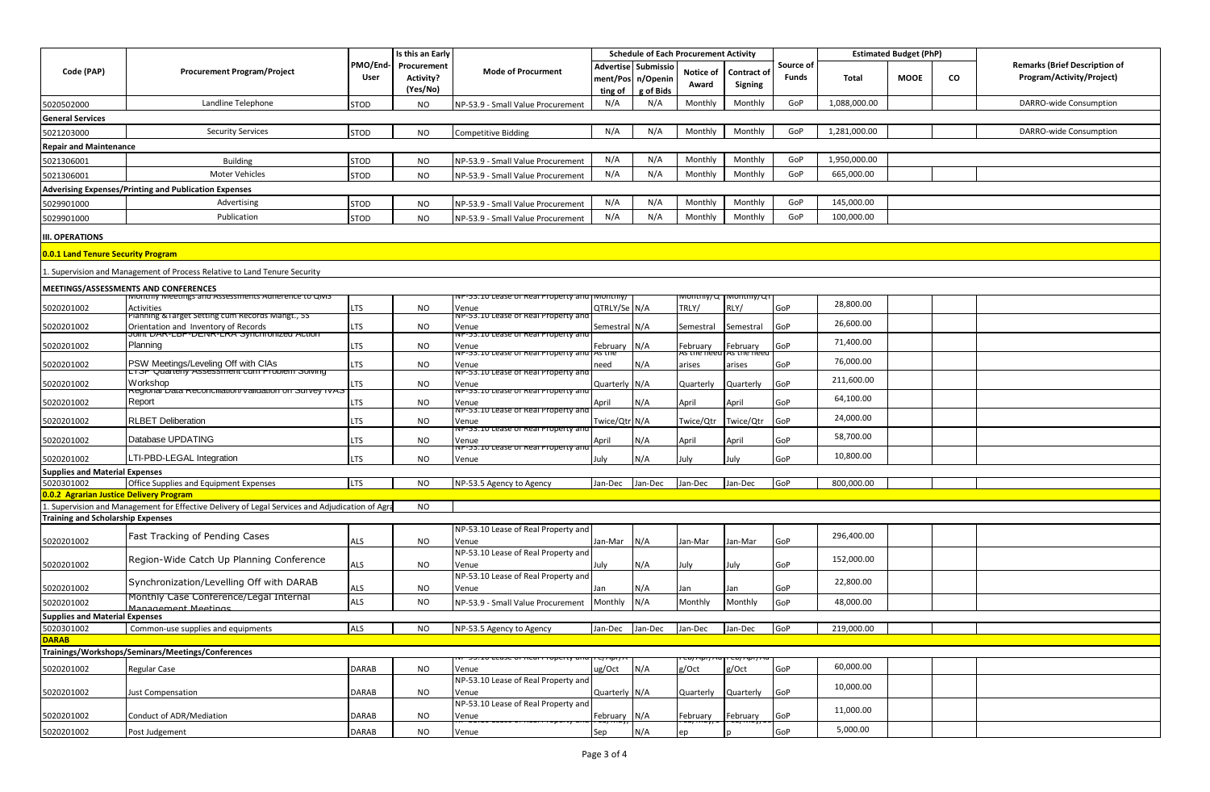|                                           | <b>Procurement Program/Project</b>                                                                 | Is this an Early |             |                                                        |                 |                     | <b>Schedule of Each Procurement Activity</b> |                |           | <b>Estimated Budget (PhP)</b> |             |    |                                      |
|-------------------------------------------|----------------------------------------------------------------------------------------------------|------------------|-------------|--------------------------------------------------------|-----------------|---------------------|----------------------------------------------|----------------|-----------|-------------------------------|-------------|----|--------------------------------------|
| Code (PAP)                                |                                                                                                    | PMO/End-         | Procurement | <b>Mode of Procurment</b>                              |                 | Advertise Submissio | Notice of                                    | Contract of    | Source of |                               |             |    | <b>Remarks (Brief Description of</b> |
|                                           |                                                                                                    | User             | Activity?   |                                                        |                 | ment/Pos n/Openin   |                                              |                | Funds     | Total                         | <b>MOOE</b> | CO | Program/Activity/Project)            |
|                                           |                                                                                                    |                  | (Yes/No)    |                                                        | ting of         | g of Bids           | Award                                        | <b>Signing</b> |           |                               |             |    |                                      |
| 5020502000                                | Landline Telephone                                                                                 | <b>STOD</b>      | <b>NO</b>   | NP-53.9 - Small Value Procurement                      | N/A             | N/A                 | Monthly                                      | Monthly        | GoP       | 1,088,000.00                  |             |    | DARRO-wide Consumption               |
| <b>General Services</b>                   |                                                                                                    |                  |             |                                                        |                 |                     |                                              |                |           |                               |             |    |                                      |
|                                           |                                                                                                    |                  |             |                                                        |                 | N/A                 |                                              | Monthly        | GoP       | 1,281,000.00                  |             |    | DARRO-wide Consumption               |
| 5021203000                                | <b>Security Services</b>                                                                           | <b>STOD</b>      | <b>NO</b>   | <b>Competitive Bidding</b>                             | N/A             |                     | Monthly                                      |                |           |                               |             |    |                                      |
| <b>Repair and Maintenance</b>             |                                                                                                    |                  |             |                                                        |                 |                     |                                              |                |           |                               |             |    |                                      |
| 5021306001                                | <b>Building</b>                                                                                    | <b>STOD</b>      | <b>NO</b>   | NP-53.9 - Small Value Procurement                      | N/A             | N/A                 | Monthly                                      | Monthly        | GoP       | 1,950,000.00                  |             |    |                                      |
| 5021306001                                | <b>Moter Vehicles</b>                                                                              | <b>STOD</b>      | <b>NO</b>   | NP-53.9 - Small Value Procurement                      | N/A             | N/A                 | Monthly                                      | Monthly        | GoP       | 665,000.00                    |             |    |                                      |
|                                           | <b>Adverising Expenses/Printing and Publication Expenses</b>                                       |                  |             |                                                        |                 |                     |                                              |                |           |                               |             |    |                                      |
| 5029901000                                | Advertising                                                                                        | <b>STOD</b>      | <b>NO</b>   | NP-53.9 - Small Value Procurement                      | N/A             | N/A                 | Monthly                                      | Monthly        | GoP       | 145,000.00                    |             |    |                                      |
|                                           |                                                                                                    |                  |             |                                                        |                 |                     |                                              |                |           |                               |             |    |                                      |
| 5029901000                                | Publication                                                                                        | <b>STOD</b>      | <b>NO</b>   | NP-53.9 - Small Value Procurement                      | N/A             | N/A                 | Monthly                                      | Monthly        | GoP       | 100,000.00                    |             |    |                                      |
| <b>III. OPERATIONS</b>                    |                                                                                                    |                  |             |                                                        |                 |                     |                                              |                |           |                               |             |    |                                      |
|                                           |                                                                                                    |                  |             |                                                        |                 |                     |                                              |                |           |                               |             |    |                                      |
| <b>0.0.1 Land Tenure Security Program</b> |                                                                                                    |                  |             |                                                        |                 |                     |                                              |                |           |                               |             |    |                                      |
|                                           | Supervision and Management of Process Relative to Land Tenure Security                             |                  |             |                                                        |                 |                     |                                              |                |           |                               |             |    |                                      |
|                                           | MEETINGS/ASSESSMENTS AND CONFERENCES                                                               |                  |             |                                                        |                 |                     |                                              |                |           |                               |             |    |                                      |
|                                           | viontniy ivieetings and Assessments Adnerence to Qivis                                             |                  |             | vP-53.10 Lease of Real Property al                     | viontniy/       |                     | nontniy/G                                    | νιοπτηιγ/τι    |           |                               |             |    |                                      |
| 5020201002                                | <b>Activities</b>                                                                                  | LTS              | <b>NO</b>   | Venue                                                  | QTRLY/Se N/A    |                     | TRLY/                                        | RLY/           | GoP       | 28,800.00                     |             |    |                                      |
|                                           | Planning & Farget Setting cum Records Mangt., 55                                                   |                  |             | vP-53.10 Lease of Real Property a                      |                 |                     |                                              |                |           | 26,600.00                     |             |    |                                      |
| 5020201002                                | Orientation and Inventory of Records<br>JUIN DAR-LOF-DENR-LRA Synchronized Action                  | LTS              | <b>NO</b>   | Venue<br>ive-53.10 Lease of Real Property and          | Semestral N/A   |                     | Semestral                                    | Semestral      | GoP       |                               |             |    |                                      |
| 5020201002                                | Planning                                                                                           | LTS              | <b>NO</b>   | Venue                                                  | February        | N/A                 | February                                     | February       | GoP       | 71,400.00                     |             |    |                                      |
|                                           |                                                                                                    |                  |             | vP-53.10 Lease of Real Property a                      | as the          |                     | es the ne                                    | is the ne      |           | 76,000.00                     |             |    |                                      |
| 5020201002                                | PSW Meetings/Leveling Off with CIAs<br>∟ <del>i or Quaneĭiy Assessĭneni cum r≀obieni ooiving</del> | LTS              | NO          | Venue<br>NP-53.10 Lease of Real Property an            | ıeed            | N/A                 | arises                                       | arises         | GoP       |                               |             |    |                                      |
| 5020201002                                | Workshop                                                                                           | LTS              | <b>NO</b>   | Venue                                                  | Quarterly       | N/A                 | Quarterly                                    | Quarterly      | GoP       | 211,600.00                    |             |    |                                      |
|                                           | kegional Data Keconciliationi validation on Survey TVA.                                            |                  |             | ive-53.10 Lease of Real Property a                     |                 |                     |                                              |                |           | 64,100.00                     |             |    |                                      |
| 5020201002                                | Report                                                                                             | LTS              | NO          | Venue<br>vr-53.10 Lease of Real Property ar            | April           | N/A                 | April                                        | April          | GoP       |                               |             |    |                                      |
| 5020201002                                | <b>RLBET Deliberation</b>                                                                          | LTS              | NO.         | Venue                                                  | Twice/Qtr N/A   |                     | Twice/Qtr                                    | Twice/Qtr      | GoP       | 24,000.00                     |             |    |                                      |
|                                           |                                                                                                    |                  |             | vP-53.10 Lease or Real Property a                      |                 |                     |                                              |                |           | 58,700.00                     |             |    |                                      |
| 5020201002                                | Database UPDATING                                                                                  | LTS              | <b>NO</b>   | Venue<br>vr- <del>53.10 Lease or Real Property a</del> | April           | N/A                 | April                                        | April          | GoP       |                               |             |    |                                      |
| 5020201002                                | LTI-PBD-LEGAL Integration                                                                          | LTS              | <b>NO</b>   | Venue                                                  | luly            | N/A                 | luly                                         | July           | GoP       | 10,800.00                     |             |    |                                      |
| <b>Supplies and Material Expenses</b>     |                                                                                                    |                  |             |                                                        |                 |                     |                                              |                |           |                               |             |    |                                      |
| 5020301002                                | Office Supplies and Equipment Expenses                                                             | <b>LTS</b>       | <b>NO</b>   | NP-53.5 Agency to Agency                               | Jan-Dec         | Jan-Dec             | Jan-Dec                                      | Jan-Dec        | GoP       | 800,000.00                    |             |    |                                      |
| 0.0.2 Agrarian Justice Delivery Program   |                                                                                                    |                  |             |                                                        |                 |                     |                                              |                |           |                               |             |    |                                      |
|                                           | . Supervision and Management for Effective Delivery of Legal Services and Adjudication of Agra     |                  | <b>NO</b>   |                                                        |                 |                     |                                              |                |           |                               |             |    |                                      |
| <b>Training and Scholarship Expenses</b>  |                                                                                                    |                  |             |                                                        |                 |                     |                                              |                |           |                               |             |    |                                      |
|                                           |                                                                                                    |                  |             | NP-53.10 Lease of Real Property and                    |                 |                     |                                              |                |           | 296,400.00                    |             |    |                                      |
| 5020201002                                | Fast Tracking of Pending Cases                                                                     | ALS              | <b>NO</b>   | Venue                                                  | Jan-Mar         | N/A                 | an-Mar                                       | Jan-Mar        | GoP       |                               |             |    |                                      |
|                                           | Region-Wide Catch Up Planning Conference                                                           |                  |             | NP-53.10 Lease of Real Property and                    |                 |                     |                                              |                |           | 152,000.00                    |             |    |                                      |
| 5020201002                                |                                                                                                    | ALS              | NO.         | Venue                                                  | luly            | N/A                 | July                                         | July           | GoP       |                               |             |    |                                      |
|                                           | Synchronization/Levelling Off with DARAB                                                           |                  |             | NP-53.10 Lease of Real Property and                    |                 |                     |                                              |                |           | 22,800.00                     |             |    |                                      |
| 5020201002                                |                                                                                                    | ALS              | NO          | Venue                                                  | an              | N/A                 | lan                                          | lan            | GoP       |                               |             |    |                                      |
| 5020201002                                | Monthly Case Conference/Legal Internal<br>Management Meetings                                      | ALS              | NO.         | NP-53.9 - Small Value Procurement                      | Monthly         | N/A                 | Monthly                                      | Monthly        | GoP       | 48,000.00                     |             |    |                                      |
| <b>Supplies and Material Expenses</b>     |                                                                                                    |                  |             |                                                        |                 |                     |                                              |                |           |                               |             |    |                                      |
| 5020301002                                | Common-use supplies and equipments                                                                 | ALS              | NO          | NP-53.5 Agency to Agency                               | Jan-Dec Jan-Dec |                     | Jan-Dec                                      | Jan-Dec        | GoP       | 219,000.00                    |             |    |                                      |
| <b>DARAB</b>                              |                                                                                                    |                  |             |                                                        |                 |                     |                                              |                |           |                               |             |    |                                      |
|                                           | Trainings/Workshops/Seminars/Meetings/Conferences                                                  |                  |             |                                                        |                 |                     |                                              |                |           |                               |             |    |                                      |
| 5020201002                                | <b>Regular Case</b>                                                                                | <b>DARAB</b>     | <b>NO</b>   |                                                        | ug/Oct          | N/A                 | र/Oct                                        | g/Oct          | GoP       | 60,000.00                     |             |    |                                      |
|                                           |                                                                                                    |                  |             | Venue<br>NP-53.10 Lease of Real Property and           |                 |                     |                                              |                |           |                               |             |    |                                      |
| 5020201002                                | Just Compensation                                                                                  | DARAB            | <b>NO</b>   | Venue                                                  | Quarterly N/A   |                     | Quarterly                                    | Quarterly      | GoP       | 10,000.00                     |             |    |                                      |
|                                           |                                                                                                    |                  |             | NP-53.10 Lease of Real Property and                    |                 |                     |                                              |                |           |                               |             |    |                                      |
| 5020201002                                | Conduct of ADR/Mediation                                                                           | DARAB            | NO          | Venue                                                  | February        | N/A                 | February                                     | February       | GoP       | 11,000.00                     |             |    |                                      |
|                                           |                                                                                                    |                  |             |                                                        |                 | N/A                 |                                              |                |           | 5,000.00                      |             |    |                                      |
| 5020201002                                | Post Judgement                                                                                     | <b>DARAB</b>     | <b>NO</b>   | Venue                                                  | Sep             |                     |                                              |                | GoP       |                               |             |    |                                      |